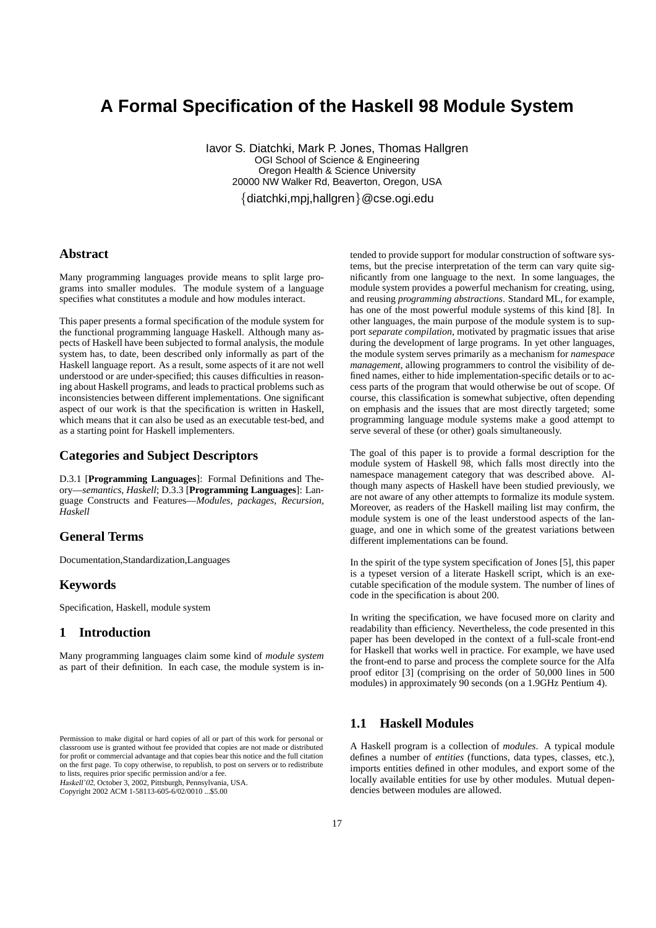# **A Formal Specification of the Haskell 98 Module System**

Iavor S. Diatchki, Mark P. Jones, Thomas Hallgren OGI School of Science & Engineering Oregon Health & Science University 20000 NW Walker Rd, Beaverton, Oregon, USA

{diatchki,mpj,hallgren}@cse.ogi.edu

# **Abstract**

Many programming languages provide means to split large programs into smaller modules. The module system of a language specifies what constitutes a module and how modules interact.

This paper presents a formal specification of the module system for the functional programming language Haskell. Although many aspects of Haskell have been subjected to formal analysis, the module system has, to date, been described only informally as part of the Haskell language report. As a result, some aspects of it are not well understood or are under-specified; this causes difficulties in reasoning about Haskell programs, and leads to practical problems such as inconsistencies between different implementations. One significant aspect of our work is that the specification is written in Haskell, which means that it can also be used as an executable test-bed, and as a starting point for Haskell implementers.

# **Categories and Subject Descriptors**

D.3.1 [**Programming Languages**]: Formal Definitions and Theory—*semantics, Haskell*; D.3.3 [**Programming Languages**]: Language Constructs and Features—*Modules, packages, Recursion, Haskell*

## **General Terms**

Documentation,Standardization,Languages

## **Keywords**

Specification, Haskell, module system

## **1 Introduction**

Many programming languages claim some kind of *module system* as part of their definition. In each case, the module system is in-

Haskell'02, October 3, 2002, Pittsburgh, Pennsylvania, USA.

tended to provide support for modular construction of software systems, but the precise interpretation of the term can vary quite significantly from one language to the next. In some languages, the module system provides a powerful mechanism for creating, using, and reusing *programming abstractions*. Standard ML, for example, has one of the most powerful module systems of this kind [8]. In other languages, the main purpose of the module system is to support *separate compilation*, motivated by pragmatic issues that arise during the development of large programs. In yet other languages, the module system serves primarily as a mechanism for *namespace management*, allowing programmers to control the visibility of defined names, either to hide implementation-specific details or to access parts of the program that would otherwise be out of scope. Of course, this classification is somewhat subjective, often depending on emphasis and the issues that are most directly targeted; some programming language module systems make a good attempt to serve several of these (or other) goals simultaneously.

The goal of this paper is to provide a formal description for the module system of Haskell 98, which falls most directly into the namespace management category that was described above. Although many aspects of Haskell have been studied previously, we are not aware of any other attempts to formalize its module system. Moreover, as readers of the Haskell mailing list may confirm, the module system is one of the least understood aspects of the language, and one in which some of the greatest variations between different implementations can be found.

In the spirit of the type system specification of Jones [5], this paper is a typeset version of a literate Haskell script, which is an executable specification of the module system. The number of lines of code in the specification is about 200.

In writing the specification, we have focused more on clarity and readability than efficiency. Nevertheless, the code presented in this paper has been developed in the context of a full-scale front-end for Haskell that works well in practice. For example, we have used the front-end to parse and process the complete source for the Alfa proof editor [3] (comprising on the order of 50,000 lines in 500 modules) in approximately 90 seconds (on a 1.9GHz Pentium 4).

#### **1.1 Haskell Modules**

A Haskell program is a collection of *modules*. A typical module defines a number of *entities* (functions, data types, classes, etc.), imports entities defined in other modules, and export some of the locally available entities for use by other modules. Mutual dependencies between modules are allowed.

Permission to make digital or hard copies of all or part of this work for personal or classroom use is granted without fee provided that copies are not made or distributed for profit or commercial advantage and that copies bear this notice and the full citation on the first page. To copy otherwise, to republish, to post on servers or to redistribute to lists, requires prior specific permission and/or a fee.

Copyright 2002 ACM 1-58113-605-6/02/0010 ...\$5.00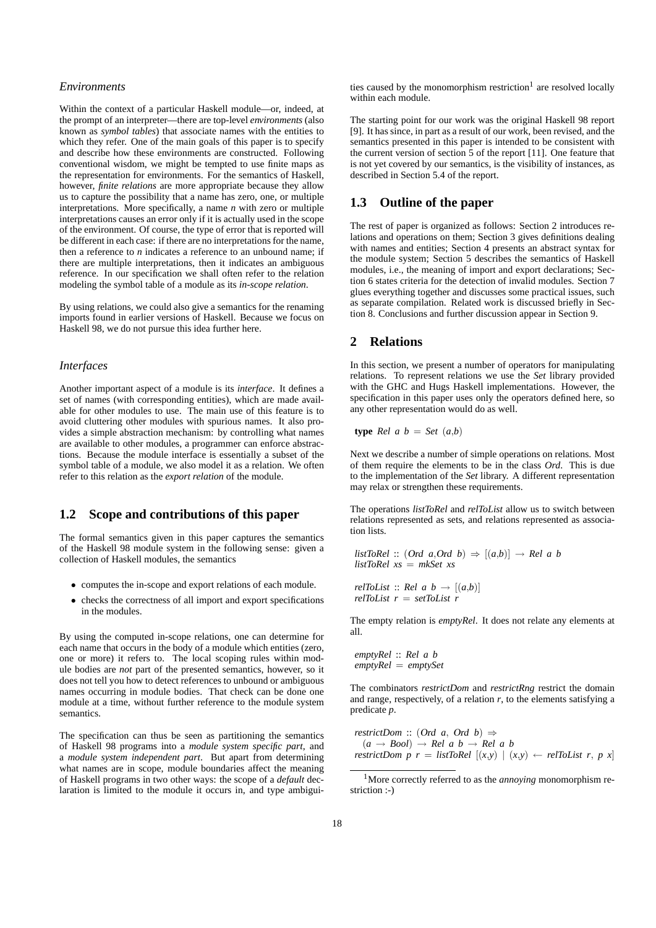#### *Environments*

Within the context of a particular Haskell module—or, indeed, at the prompt of an interpreter—there are top-level *environments* (also known as *symbol tables*) that associate names with the entities to which they refer. One of the main goals of this paper is to specify and describe how these environments are constructed. Following conventional wisdom, we might be tempted to use finite maps as the representation for environments. For the semantics of Haskell, however, *finite relations* are more appropriate because they allow us to capture the possibility that a name has zero, one, or multiple interpretations. More specifically, a name *n* with zero or multiple interpretations causes an error only if it is actually used in the scope of the environment. Of course, the type of error that is reported will be different in each case: if there are no interpretations for the name, then a reference to *n* indicates a reference to an unbound name; if there are multiple interpretations, then it indicates an ambiguous reference. In our specification we shall often refer to the relation modeling the symbol table of a module as its *in-scope relation*.

By using relations, we could also give a semantics for the renaming imports found in earlier versions of Haskell. Because we focus on Haskell 98, we do not pursue this idea further here.

#### *Interfaces*

Another important aspect of a module is its *interface*. It defines a set of names (with corresponding entities), which are made available for other modules to use. The main use of this feature is to avoid cluttering other modules with spurious names. It also provides a simple abstraction mechanism: by controlling what names are available to other modules, a programmer can enforce abstractions. Because the module interface is essentially a subset of the symbol table of a module, we also model it as a relation. We often refer to this relation as the *export relation* of the module.

# **1.2 Scope and contributions of this paper**

The formal semantics given in this paper captures the semantics of the Haskell 98 module system in the following sense: given a collection of Haskell modules, the semantics

- computes the in-scope and export relations of each module.
- checks the correctness of all import and export specifications in the modules.

By using the computed in-scope relations, one can determine for each name that occurs in the body of a module which entities (zero, one or more) it refers to. The local scoping rules within module bodies are *not* part of the presented semantics, however, so it does not tell you how to detect references to unbound or ambiguous names occurring in module bodies. That check can be done one module at a time, without further reference to the module system semantics.

The specification can thus be seen as partitioning the semantics of Haskell 98 programs into a *module system specific part*, and a *module system independent part*. But apart from determining what names are in scope, module boundaries affect the meaning of Haskell programs in two other ways: the scope of a *default* declaration is limited to the module it occurs in, and type ambigui-

ties caused by the monomorphism restriction<sup>1</sup> are resolved locally within each module.

The starting point for our work was the original Haskell 98 report [9]. It has since, in part as a result of our work, been revised, and the semantics presented in this paper is intended to be consistent with the current version of section 5 of the report [11]. One feature that is not yet covered by our semantics, is the visibility of instances, as described in Section 5.4 of the report.

# **1.3 Outline of the paper**

The rest of paper is organized as follows: Section 2 introduces relations and operations on them; Section 3 gives definitions dealing with names and entities; Section 4 presents an abstract syntax for the module system; Section 5 describes the semantics of Haskell modules, i.e., the meaning of import and export declarations; Section 6 states criteria for the detection of invalid modules. Section 7 glues everything together and discusses some practical issues, such as separate compilation. Related work is discussed briefly in Section 8. Conclusions and further discussion appear in Section 9.

#### **2 Relations**

In this section, we present a number of operators for manipulating relations. To represent relations we use the *Set* library provided with the GHC and Hugs Haskell implementations. However, the specification in this paper uses only the operators defined here, so any other representation would do as well.

$$
type\ Rel\ a\ b\ =\ Set\ (a,b)
$$

Next we describe a number of simple operations on relations. Most of them require the elements to be in the class *Ord*. This is due to the implementation of the *Set* library. A different representation may relax or strengthen these requirements.

The operations *listToRel* and *relToList* allow us to switch between relations represented as sets, and relations represented as association lists.

listToRel :: (Ord a, Ord b) 
$$
\Rightarrow
$$
 [(a,b)]  $\rightarrow$  Rel a b  
listToRel xs = mkSet xs

$$
relToList :: Rel \ a \ b \rightarrow [(a,b)]
$$
  

$$
relToList \ r = setToList \ r
$$

The empty relation is *emptyRel*. It does not relate any elements at all.

*emptyRel* :: *Rel a b emptyRel* = *emptySet*

The combinators *restrictDom* and *restrictRng* restrict the domain and range, respectively, of a relation  $r$ , to the elements satisfying a predicate *p*.

*restrictDom* :: (Ord *a*, Ord *b*)  $\Rightarrow$  $(a \rightarrow Bool) \rightarrow Rel \, a \, b \rightarrow Rel \, a \, b$ *restrictDom p r = listToRel*  $[(x,y) | (x,y) \leftarrow relTOList \ r, p \ x]$ 

<sup>1</sup>More correctly referred to as the *annoying* monomorphism restriction :-)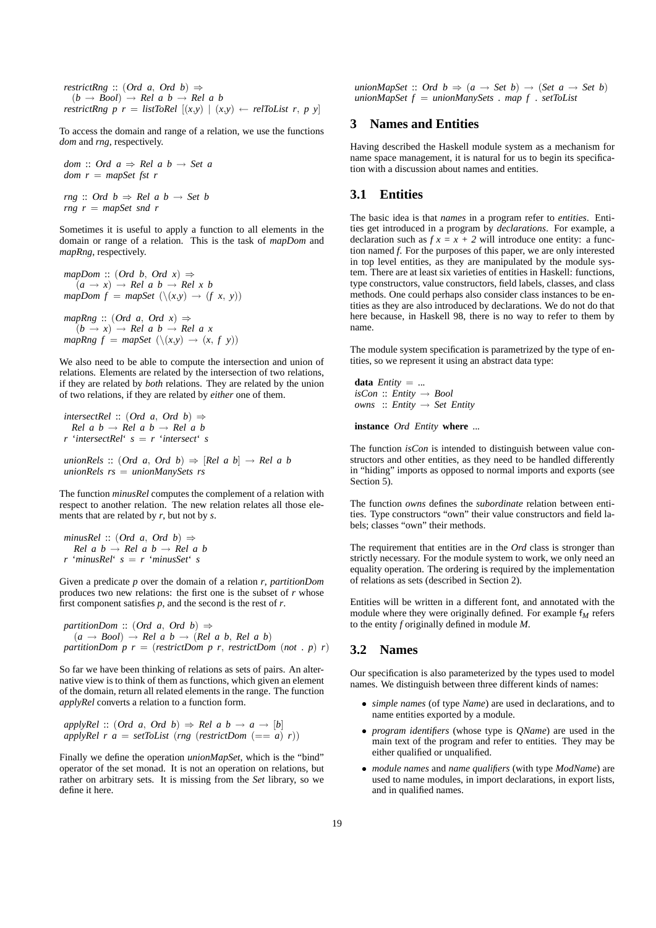*restrictRng* :: (Ord *a*, Ord *b*)  $\Rightarrow$  $(b \rightarrow Bool) \rightarrow Rel \, a \, b \rightarrow Rel \, a \, b$ *restrictRng p r = listToRel*  $[(x,y) | (x,y) \leftarrow$  *relToList r, p y* 

To access the domain and range of a relation, we use the functions *dom* and *rng*, respectively.

*dom* :: Ord  $a \Rightarrow$  *Rel a b*  $\rightarrow$  *Set a dom r* = *mapSet fst r*

*rng*  $\therefore$  Ord  $b \Rightarrow$  *Rel a*  $b \rightarrow$  *Set b rng r* = *mapSet snd r*

Sometimes it is useful to apply a function to all elements in the domain or range of a relation. This is the task of *mapDom* and *mapRng*, respectively.

mapDom :: (Ord b, Ord x) 
$$
\Rightarrow
$$
  
\n $(a \rightarrow x) \rightarrow Rel \ a \ b \rightarrow Rel \ x \ b$   
\nmapDom  $f = mapSet (\{(x,y) \rightarrow (f \ x, y))$   
\nmapRng :: (Ord a, Ord x)  $\Rightarrow$   
\n $(b \rightarrow x) \rightarrow Rel \ a \ b \rightarrow Rel \ a \ x$   
\nmapRng  $f = mapSet (\{(x,y) \rightarrow (x, f \ y))}$ 

We also need to be able to compute the intersection and union of relations. Elements are related by the intersection of two relations, if they are related by *both* relations. They are related by the union of two relations, if they are related by *either* one of them.

*intersectRel* ::  $(Ord a, Ord b) \Rightarrow$  $Rel \, a \, b \rightarrow Rel \, a \, b \rightarrow Rel \, a \, b$ *r* '*intersectRel*' *s* = *r* '*intersect*' *s*

*unionRels* :: (Ord *a*, Ord *b*)  $\Rightarrow$  [*Rel a b*]  $\rightarrow$  *Rel a b unionRels rs* = *unionManySets rs*

The function *minusRel* computes the complement of a relation with respect to another relation. The new relation relates all those elements that are related by *r*, but not by *s*.

```
minusRel :: (Ord a, Ord b) \RightarrowRel \, a \, b \rightarrow Rel \, a \, b \rightarrow Rel \, a \, br 'minusRel' s = r 'minusSet' s
```
Given a predicate *p* over the domain of a relation *r*, *partitionDom* produces two new relations: the first one is the subset of *r* whose first component satisfies *p*, and the second is the rest of *r*.

*partitionDom* :: (Ord *a*, Ord *b*)  $\Rightarrow$  $(a \rightarrow Bool) \rightarrow Rel \, a \, b \rightarrow (Rel \, a \, b, Rel \, a \, b)$ *partitionDom p r = (restrictDom p r, restrictDom (not . p) r)* 

So far we have been thinking of relations as sets of pairs. An alternative view is to think of them as functions, which given an element of the domain, return all related elements in the range. The function *applyRel* converts a relation to a function form.

*applyRel* :: (Ord *a*, Ord *b*)  $\Rightarrow$  *Rel a b*  $\rightarrow$  *a*  $\rightarrow$  [*b*] *applyRel r a = setToList* (*rng* (*restrictDom* (== *a*) *r*))

Finally we define the operation *unionMapSet*, which is the "bind" operator of the set monad. It is not an operation on relations, but rather on arbitrary sets. It is missing from the *Set* library, so we define it here.

*unionMapSet* :: Ord  $b \Rightarrow (a \rightarrow Set b) \rightarrow (Set a \rightarrow Set b)$ *unionMapSet f* = *unionManySets* . *map f* . *setToList*

#### **3 Names and Entities**

Having described the Haskell module system as a mechanism for name space management, it is natural for us to begin its specification with a discussion about names and entities.

# **3.1 Entities**

The basic idea is that *names* in a program refer to *entities*. Entities get introduced in a program by *declarations*. For example, a declaration such as  $f x = x + 2$  will introduce one entity: a function named *f*. For the purposes of this paper, we are only interested in top level entities, as they are manipulated by the module system. There are at least six varieties of entities in Haskell: functions, type constructors, value constructors, field labels, classes, and class methods. One could perhaps also consider class instances to be entities as they are also introduced by declarations. We do not do that here because, in Haskell 98, there is no way to refer to them by name.

The module system specification is parametrized by the type of entities, so we represent it using an abstract data type:

**data**  $Entity = ...$  $isCon :: Entity \rightarrow Bool$ *owns* :: *Entity* → *Set Entity*

**instance** Ord *Entity* **where** ..*.*

The function *isCon* is intended to distinguish between value constructors and other entities, as they need to be handled differently in "hiding" imports as opposed to normal imports and exports (see Section 5).

The function *owns* defines the *subordinate* relation between entities. Type constructors "own" their value constructors and field labels; classes "own" their methods.

The requirement that entities are in the *Ord* class is stronger than strictly necessary. For the module system to work, we only need an equality operation. The ordering is required by the implementation of relations as sets (described in Section 2).

Entities will be written in a different font, and annotated with the module where they were originally defined. For example  $f_M$  refers to the entity *f* originally defined in module *M*.

## **3.2 Names**

Our specification is also parameterized by the types used to model names. We distinguish between three different kinds of names:

- *simple names* (of type *Name*) are used in declarations, and to name entities exported by a module.
- *program identifiers* (whose type is *QName*) are used in the main text of the program and refer to entities. They may be either qualified or unqualified.
- *module names* and *name qualifiers* (with type *ModName*) are used to name modules, in import declarations, in export lists, and in qualified names.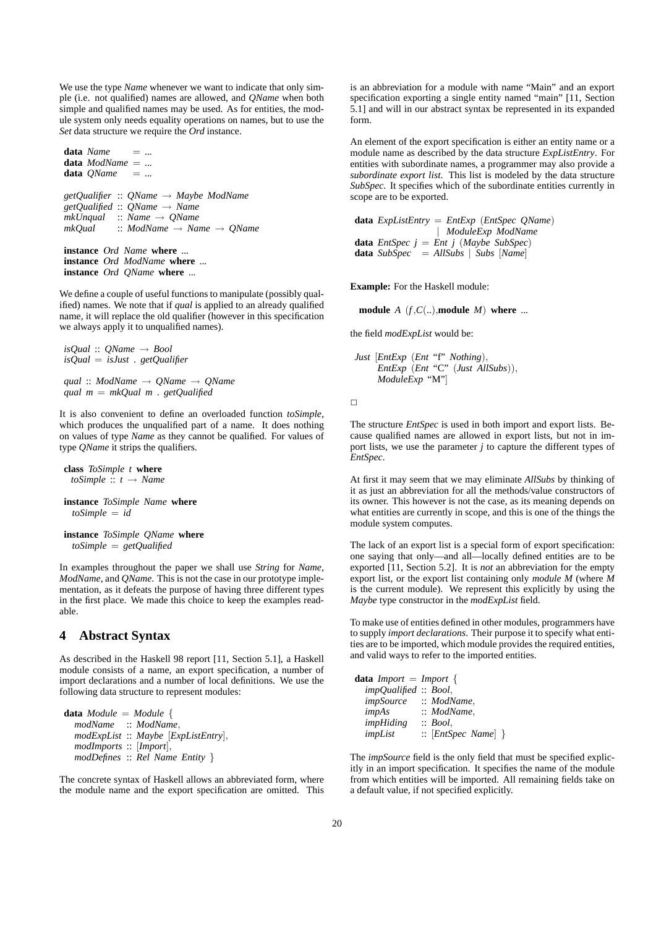We use the type *Name* whenever we want to indicate that only simple (i.e. not qualified) names are allowed, and *QName* when both simple and qualified names may be used. As for entities, the module system only needs equality operations on names, but to use the *Set* data structure we require the *Ord* instance.

 $data$   $Name$  = ... **data** *ModName* = ..*.* **data**  $OName = ...$ *getQualifier* :: *QName* → *Maybe ModName getQualified* :: *QName* → *Name mkUnqual* :: *Name* → *QName mkQual* :: *ModName* → *Name* → *QName* **instance** Ord *Name* **where** ..*.*

**instance** Ord *ModName* **where** ..*.* **instance** Ord *QName* **where** ..*.*

We define a couple of useful functions to manipulate (possibly qualified) names. We note that if *qual* is applied to an already qualified name, it will replace the old qualifier (however in this specification we always apply it to unqualified names).

```
isQual :: QName → Bool
isQual = isJust . getQualifier
```
*qual* :: *ModName* → *QName* → *QName qual m* = *mkQual m* . *getQualified*

It is also convenient to define an overloaded function *toSimple*, which produces the unqualified part of a name. It does nothing on values of type *Name* as they cannot be qualified. For values of type *QName* it strips the qualifiers.

**class** *ToSimple t* **where** *toSimple* :: *t* → *Name* **instance** *ToSimple Name* **where**

*toSimple* = *id*

**instance** *ToSimple QName* **where** *toSimple* = *getQualified*

In examples throughout the paper we shall use *String* for *Name*, *ModName*, and *QName*. This is not the case in our prototype implementation, as it defeats the purpose of having three different types in the first place. We made this choice to keep the examples readable.

# **4 Abstract Syntax**

As described in the Haskell 98 report [11, Section 5.1], a Haskell module consists of a name, an export specification, a number of import declarations and a number of local definitions. We use the following data structure to represent modules:

```
data Module = Module {
  modName :: ModName,
  modExpList :: Maybe [ExpListEntry],
  modImports :: [Import],
  modDefines :: Rel Name Entity }
```
The concrete syntax of Haskell allows an abbreviated form, where the module name and the export specification are omitted. This is an abbreviation for a module with name "Main" and an export specification exporting a single entity named "main" [11, Section 5.1] and will in our abstract syntax be represented in its expanded form.

An element of the export specification is either an entity name or a module name as described by the data structure *ExpListEntry*. For entities with subordinate names, a programmer may also provide a *subordinate export list*. This list is modeled by the data structure *SubSpec*. It specifies which of the subordinate entities currently in scope are to be exported.

**data** *ExpListEntry* = *EntExp* (*EntSpec QName*) | *ModuleExp ModName* **data** *EntSpec*  $j = Ent j$  (*Maybe SubSpec*) **data** *SubSpec* = *AllSubs* | *Subs* [*Name*]

**Example:** For the Haskell module:

**module**  $A(f, C(u))$ , **module**  $M$  **where** ...

the field *modExpList* would be:

```
Just [EntExp (Ent "f" Nothing),
     EntExp (Ent "C" (Just AllSubs)),
     ModuleExp "M"]
```
 $\Box$ 

The structure *EntSpec* is used in both import and export lists. Because qualified names are allowed in export lists, but not in import lists, we use the parameter *j* to capture the different types of *EntSpec*.

At first it may seem that we may eliminate *AllSubs* by thinking of it as just an abbreviation for all the methods/value constructors of its owner. This however is not the case, as its meaning depends on what entities are currently in scope, and this is one of the things the module system computes.

The lack of an export list is a special form of export specification: one saying that only—and all—locally defined entities are to be exported [11, Section 5.2]. It is *not* an abbreviation for the empty export list, or the export list containing only *module M* (where *M* is the current module). We represent this explicitly by using the *Maybe* type constructor in the *modExpList* field.

To make use of entities defined in other modules, programmers have to supply *import declarations*. Their purpose it to specify what entities are to be imported, which module provides the required entities, and valid ways to refer to the imported entities.

| <b>data</b> Import = Import { |                       |
|-------------------------------|-----------------------|
| impQualified :: Bool,         |                       |
| <i>impSource</i>              | $\therefore$ ModName, |
| impAs                         | $\therefore$ ModName, |
| <i>impHiding</i>              | $\therefore$ Bool.    |
| impList                       | $::$ [EntSpec Name] } |

The *impSource* field is the only field that must be specified explicitly in an import specification. It specifies the name of the module from which entities will be imported. All remaining fields take on a default value, if not specified explicitly.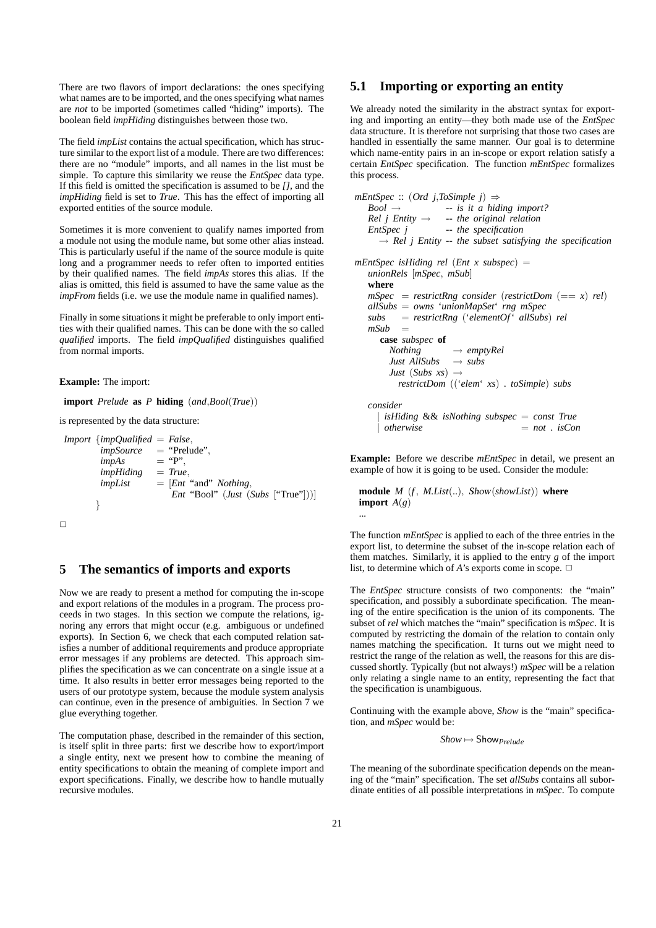There are two flavors of import declarations: the ones specifying what names are to be imported, and the ones specifying what names are *not* to be imported (sometimes called "hiding" imports). The boolean field *impHiding* distinguishes between those two.

The field *impList* contains the actual specification, which has structure similar to the export list of a module. There are two differences: there are no "module" imports, and all names in the list must be simple. To capture this similarity we reuse the *EntSpec* data type. If this field is omitted the specification is assumed to be *[]*, and the *impHiding* field is set to *True*. This has the effect of importing all exported entities of the source module.

Sometimes it is more convenient to qualify names imported from a module not using the module name, but some other alias instead. This is particularly useful if the name of the source module is quite long and a programmer needs to refer often to imported entities by their qualified names. The field *impAs* stores this alias. If the alias is omitted, this field is assumed to have the same value as the *impFrom* fields (i.e. we use the module name in qualified names).

Finally in some situations it might be preferable to only import entities with their qualified names. This can be done with the so called *qualified* imports. The field *impQualified* distinguishes qualified from normal imports.

**Example:** The import:

**import** *Prelude* **as** *P* **hiding** (*and*,*Bool*(*True*))

is represented by the data structure:

*Import* {*impQualified* = *False*, *impSource* = "Prelude",  $impAs$  = "P", *impHiding* = *True*, *impList* = [*Ent* "and" *Nothing*, *Ent* "Bool" (*Just* (*Subs* ["True"]))] }  $\Box$ 

#### **5 The semantics of imports and exports**

Now we are ready to present a method for computing the in-scope and export relations of the modules in a program. The process proceeds in two stages. In this section we compute the relations, ignoring any errors that might occur (e.g. ambiguous or undefined exports). In Section 6, we check that each computed relation satisfies a number of additional requirements and produce appropriate error messages if any problems are detected. This approach simplifies the specification as we can concentrate on a single issue at a time. It also results in better error messages being reported to the users of our prototype system, because the module system analysis can continue, even in the presence of ambiguities. In Section 7 we glue everything together.

The computation phase, described in the remainder of this section, is itself split in three parts: first we describe how to export/import a single entity, next we present how to combine the meaning of entity specifications to obtain the meaning of complete import and export specifications. Finally, we describe how to handle mutually recursive modules.

## **5.1 Importing or exporting an entity**

We already noted the similarity in the abstract syntax for exporting and importing an entity—they both made use of the *EntSpec* data structure. It is therefore not surprising that those two cases are handled in essentially the same manner. Our goal is to determine which name-entity pairs in an in-scope or export relation satisfy a certain *EntSpec* specification. The function *mEntSpec* formalizes this process.

```
mEntSpec :: (Ord\ j,ToSimple\ j) \Rightarrow<br>Bool \rightarrow -- is it a hid
                     Bool → -- is it a hiding import?
   Rel j Entity \rightarrow -- the original relation
   EntSpec j -- the specification
      \rightarrow Rel j Entity -- the subset satisfying the specification
mEntSpec isHiding rel (Ent x subspec) =
   unionRels [mSpec, mSub]
   where
   mSpec = restrictRng consider (restrictDom (=x) rel)allSubs = owns 'unionMapSet' rng mSpec
   subs = restrictRng ('elementOf' allSubs) rel
   mSub =case subspec of
        Nothing → emptyRel
        Just AllSubs → subs
        Just (Subs xs) \rightarrowrestrictDom (('elem' xs) . toSimple) subs
   consider
       | isHiding && isNothing subspec = const True
                                         = not : isCon
```
**Example:** Before we describe *mEntSpec* in detail, we present an example of how it is going to be used. Consider the module:

```
module M (f , M.List(..), Show(showList)) where
import A(g)...
```
The function *mEntSpec* is applied to each of the three entries in the export list, to determine the subset of the in-scope relation each of them matches. Similarly, it is applied to the entry *g* of the import list, to determine which of *A*'s exports come in scope.  $\Box$ 

The *EntSpec* structure consists of two components: the "main" specification, and possibly a subordinate specification. The meaning of the entire specification is the union of its components. The subset of *rel* which matches the "main" specification is *mSpec*. It is computed by restricting the domain of the relation to contain only names matching the specification. It turns out we might need to restrict the range of the relation as well, the reasons for this are discussed shortly. Typically (but not always!) *mSpec* will be a relation only relating a single name to an entity, representing the fact that the specification is unambiguous.

Continuing with the example above, *Show* is the "main" specification, and *mSpec* would be:

*Show* 7→ Show*Prelude*

The meaning of the subordinate specification depends on the meaning of the "main" specification. The set *allSubs* contains all subordinate entities of all possible interpretations in *mSpec*. To compute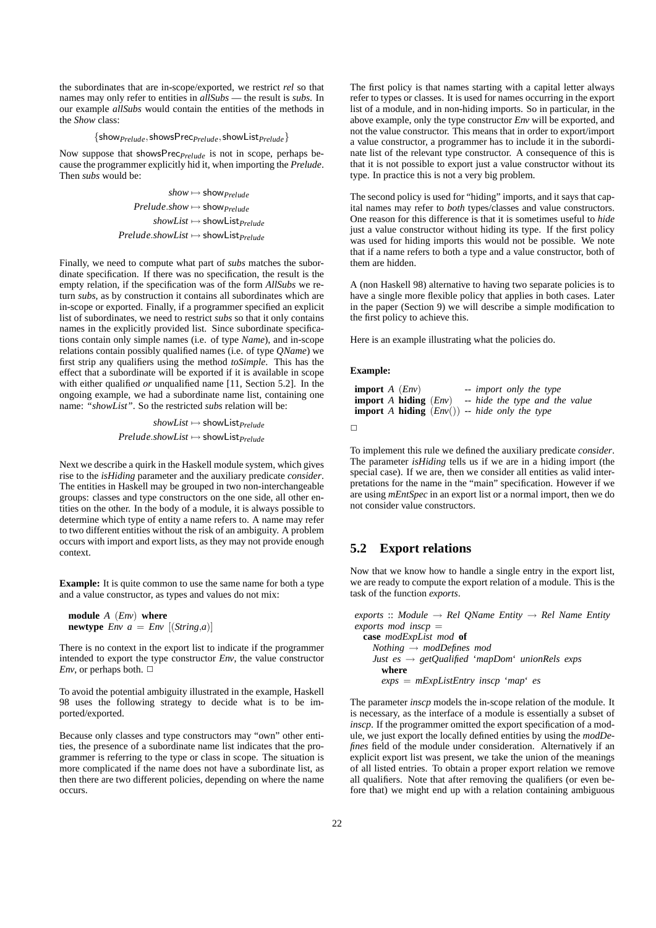the subordinates that are in-scope/exported, we restrict *rel* so that names may only refer to entities in *allSubs* — the result is *subs*. In our example *allSubs* would contain the entities of the methods in the *Show* class:

#### {show*Prelude*,showsPrec*Prelude*,showList*Prelude*}

Now suppose that showsPrec*Prelude* is not in scope, perhaps because the programmer explicitly hid it, when importing the *Prelude*. Then *subs* would be:

> *show* 7→ show*Prelude Prelude.show*  $\mapsto$  show<sub>*Prelude*</sub> *showList* 7→ showList*Prelude Prelude*.*showList* 7→ showList*Prelude*

Finally, we need to compute what part of *subs* matches the subordinate specification. If there was no specification, the result is the empty relation, if the specification was of the form *AllSubs* we return *subs*, as by construction it contains all subordinates which are in-scope or exported. Finally, if a programmer specified an explicit list of subordinates, we need to restrict *subs* so that it only contains names in the explicitly provided list. Since subordinate specifications contain only simple names (i.e. of type *Name*), and in-scope relations contain possibly qualified names (i.e. of type *QName*) we first strip any qualifiers using the method *toSimple*. This has the effect that a subordinate will be exported if it is available in scope with either qualified *or* unqualified name [11, Section 5.2]. In the ongoing example, we had a subordinate name list, containing one name: *"showList"*. So the restricted *subs* relation will be:

> *showList* 7→ showList*Prelude Prelude*.*showList* 7→ showList*Prelude*

Next we describe a quirk in the Haskell module system, which gives rise to the *isHiding* parameter and the auxiliary predicate *consider*. The entities in Haskell may be grouped in two non-interchangeable groups: classes and type constructors on the one side, all other entities on the other. In the body of a module, it is always possible to determine which type of entity a name refers to. A name may refer to two different entities without the risk of an ambiguity. A problem occurs with import and export lists, as they may not provide enough context.

**Example:** It is quite common to use the same name for both a type and a value constructor, as types and values do not mix:

```
module A (Env) where
newtype Env a = Env [(String,a)]
```
There is no context in the export list to indicate if the programmer intended to export the type constructor *Env*, the value constructor *Env*, or perhaps both.  $\Box$ 

To avoid the potential ambiguity illustrated in the example, Haskell 98 uses the following strategy to decide what is to be imported/exported.

Because only classes and type constructors may "own" other entities, the presence of a subordinate name list indicates that the programmer is referring to the type or class in scope. The situation is more complicated if the name does not have a subordinate list, as then there are two different policies, depending on where the name occurs.

The first policy is that names starting with a capital letter always refer to types or classes. It is used for names occurring in the export list of a module, and in non-hiding imports. So in particular, in the above example, only the type constructor *Env* will be exported, and not the value constructor. This means that in order to export/import a value constructor, a programmer has to include it in the subordinate list of the relevant type constructor. A consequence of this is that it is not possible to export just a value constructor without its type. In practice this is not a very big problem.

The second policy is used for "hiding" imports, and it says that capital names may refer to *both* types/classes and value constructors. One reason for this difference is that it is sometimes useful to *hide* just a value constructor without hiding its type. If the first policy was used for hiding imports this would not be possible. We note that if a name refers to both a type and a value constructor, both of them are hidden.

A (non Haskell 98) alternative to having two separate policies is to have a single more flexible policy that applies in both cases. Later in the paper (Section 9) we will describe a simple modification to the first policy to achieve this.

Here is an example illustrating what the policies do.

#### **Example:**

```
import A (Env) -- import only the type
import A hiding (Env) -- hide the type and the value
import A hiding (Env()) -- hide only the type
```

```
\Box
```
To implement this rule we defined the auxiliary predicate *consider*. The parameter *isHiding* tells us if we are in a hiding import (the special case). If we are, then we consider all entities as valid interpretations for the name in the "main" specification. However if we are using *mEntSpec* in an export list or a normal import, then we do not consider value constructors.

#### **5.2 Export relations**

Now that we know how to handle a single entry in the export list, we are ready to compute the export relation of a module. This is the task of the function *exports*.

 $\textit{exports} :: \textit{Module} \rightarrow \textit{Rel} \textit{QName} \textit{Entity} \rightarrow \textit{Rel Name} \textit{Entity}$ *exports mod inscp* = **case** *modExpList mod* **of** *Nothing* → *modDefines mod Just es* → *getQualified* '*mapDom*' *unionRels exps* **where**

*exps* = *mExpListEntry inscp* '*map*' *es*

The parameter *inscp* models the in-scope relation of the module. It is necessary, as the interface of a module is essentially a subset of *inscp*. If the programmer omitted the export specification of a module, we just export the locally defined entities by using the *modDefines* field of the module under consideration. Alternatively if an explicit export list was present, we take the union of the meanings of all listed entries. To obtain a proper export relation we remove all qualifiers. Note that after removing the qualifiers (or even before that) we might end up with a relation containing ambiguous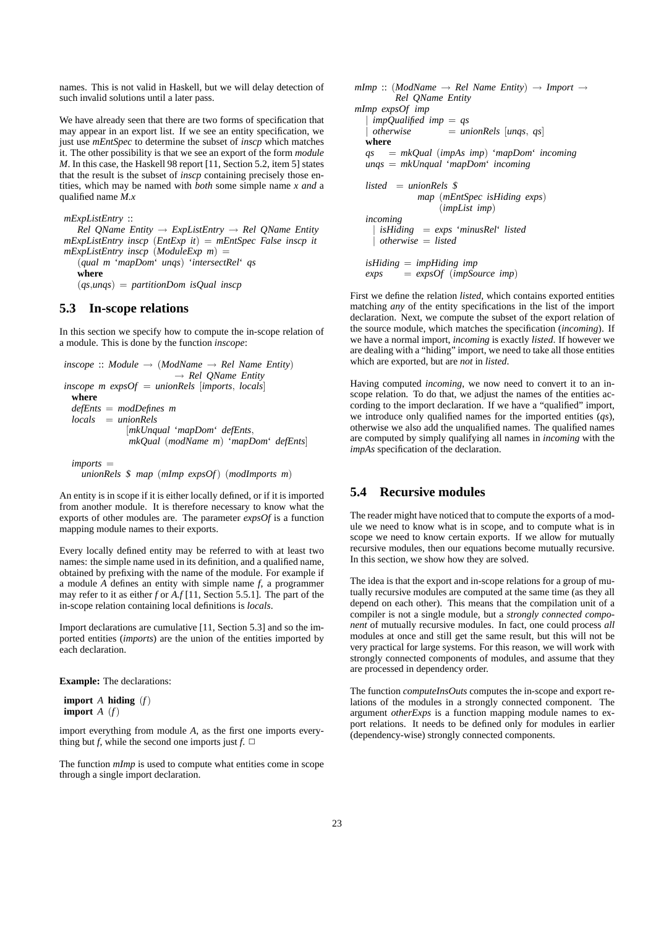names. This is not valid in Haskell, but we will delay detection of such invalid solutions until a later pass.

We have already seen that there are two forms of specification that may appear in an export list. If we see an entity specification, we just use *mEntSpec* to determine the subset of *inscp* which matches it. The other possibility is that we see an export of the form *module M*. In this case, the Haskell 98 report [11, Section 5.2, item 5] states that the result is the subset of *inscp* containing precisely those entities, which may be named with *both* some simple name *x and* a qualified name *M.x*

```
mExpListEntry ::
```
*Rel QName Entity* → *ExpListEntry* → *Rel QName Entity mExpListEntry inscp* (*EntExp it*) = *mEntSpec False inscp it mExpListEntry inscp* (*ModuleExp m*) =

(*qual m* '*mapDom*' *unqs*) '*intersectRel*' *qs* **where**

(*qs*,*unqs*) = *partitionDom isQual inscp*

#### **5.3 In-scope relations**

In this section we specify how to compute the in-scope relation of a module. This is done by the function *inscope*:

```
inscope :: Module \rightarrow (ModName \rightarrow Rel Name Entity)→ Rel QName Entity
inscope m expsOf = unionRels [imports, locals]
 where
 defEnts = modDefines m
 locals = unionRels
              [mkUnqual 'mapDom' defEnts,
              mkQual (modName m) 'mapDom' defEnts]
```
*imports* = *unionRels* \$ *map* (*mImp expsOf*) (*modImports m*)

An entity is in scope if it is either locally defined, or if it is imported from another module. It is therefore necessary to know what the exports of other modules are. The parameter *expsOf* is a function mapping module names to their exports.

Every locally defined entity may be referred to with at least two names: the simple name used in its definition, and a qualified name, obtained by prefixing with the name of the module. For example if a module *A* defines an entity with simple name *f*, a programmer may refer to it as either *f* or *A.f* [11, Section 5.5.1]. The part of the in-scope relation containing local definitions is *locals*.

Import declarations are cumulative [11, Section 5.3] and so the imported entities (*imports*) are the union of the entities imported by each declaration.

**Example:** The declarations:

**import** *A* **hiding** (*f*) **import** *A* (*f*)

import everything from module *A*, as the first one imports everything but *f*, while the second one imports just  $f$ .  $\Box$ 

The function *mImp* is used to compute what entities come in scope through a single import declaration.

 $mImp :: (ModName \rightarrow Rel Name Entity) \rightarrow Import \rightarrow$ *Rel QName Entity mImp expsOf imp*  $impQualified$  *imp* = *qs* | *otherwise* = *unionRels* [*unqs*, *qs*] **where** *qs* = *mkQual* (*impAs imp*) '*mapDom*' *incoming unqs* = *mkUnqual* '*mapDom*' *incoming listed* = *unionRels* \$ *map* (*mEntSpec isHiding exps*) (*impList imp*) *incoming* | *isHiding* = *exps* '*minusRel*' *listed* | *otherwise* = *listed isHiding* = *impHiding imp exps* = *expsOf* (*impSource imp*)

First we define the relation *listed*, which contains exported entities matching *any* of the entity specifications in the list of the import declaration. Next, we compute the subset of the export relation of the source module, which matches the specification (*incoming*). If we have a normal import, *incoming* is exactly *listed*. If however we are dealing with a "hiding" import, we need to take all those entities which are exported, but are *not* in *listed*.

Having computed *incoming*, we now need to convert it to an inscope relation. To do that, we adjust the names of the entities according to the import declaration. If we have a "qualified" import, we introduce only qualified names for the imported entities (*qs*), otherwise we also add the unqualified names. The qualified names are computed by simply qualifying all names in *incoming* with the *impAs* specification of the declaration.

# **5.4 Recursive modules**

The reader might have noticed that to compute the exports of a module we need to know what is in scope, and to compute what is in scope we need to know certain exports. If we allow for mutually recursive modules, then our equations become mutually recursive. In this section, we show how they are solved.

The idea is that the export and in-scope relations for a group of mutually recursive modules are computed at the same time (as they all depend on each other). This means that the compilation unit of a compiler is not a single module, but a *strongly connected component* of mutually recursive modules. In fact, one could process *all* modules at once and still get the same result, but this will not be very practical for large systems. For this reason, we will work with strongly connected components of modules, and assume that they are processed in dependency order.

The function *computeInsOuts* computes the in-scope and export relations of the modules in a strongly connected component. The argument *otherExps* is a function mapping module names to export relations. It needs to be defined only for modules in earlier (dependency-wise) strongly connected components.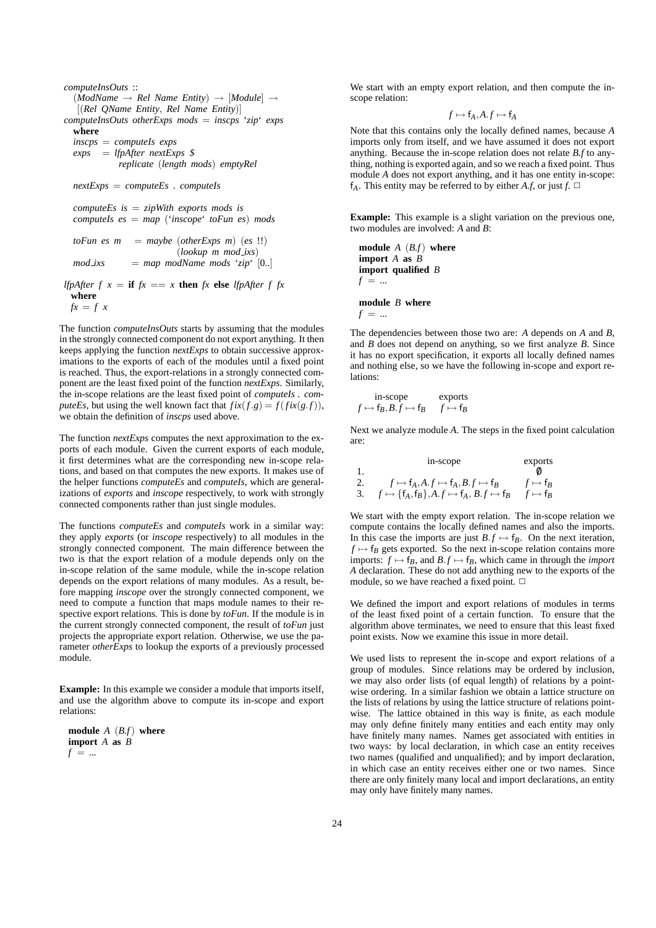```
computeInsOuts ::
  (ModName \rightarrow Rel Name Entity) \rightarrow [Module] \rightarrow[(Rel QName Entity, Rel Name Entity)]
computeInsOuts otherExps mods = inscps 'zip' exps
  where
  inscps = computeIs exps
  exps = lfpAfter nextExps $
            replicate (length mods) emptyRel
 nextExps = computeEs . computeIs
  computeEs is = zipWith exports mods is
  computeIs es = map ('inscope' toFun es) mods
  toFun es m = maybe (otherExpress m) (es !!)(lookup m mod ixs)
 mod ixs = map modName mods 'zip' [0..]lfpAfter f x = if fx == x then fx else lfpAfter f fx
 where
```

```
f x = f x
```
The function *computeInsOuts* starts by assuming that the modules in the strongly connected component do not export anything. It then keeps applying the function *nextExps* to obtain successive approximations to the exports of each of the modules until a fixed point is reached. Thus, the export-relations in a strongly connected component are the least fixed point of the function *nextExps*. Similarly, the in-scope relations are the least fixed point of *computeIs . computeEs*, but using the well known fact that  $fix(f.g) = f(fix(g.f)),$ we obtain the definition of *inscps* used above.

The function *nextExps* computes the next approximation to the exports of each module. Given the current exports of each module, it first determines what are the corresponding new in-scope relations, and based on that computes the new exports. It makes use of the helper functions *computeEs* and *computeIs*, which are generalizations of *exports* and *inscope* respectively, to work with strongly connected components rather than just single modules.

The functions *computeEs* and *computeIs* work in a similar way: they apply *exports* (or *inscope* respectively) to all modules in the strongly connected component. The main difference between the two is that the export relation of a module depends only on the in-scope relation of the same module, while the in-scope relation depends on the export relations of many modules. As a result, before mapping *inscope* over the strongly connected component, we need to compute a function that maps module names to their respective export relations. This is done by *toFun*. If the module is in the current strongly connected component, the result of *toFun* just projects the appropriate export relation. Otherwise, we use the parameter *otherExps* to lookup the exports of a previously processed module.

**Example:** In this example we consider a module that imports itself, and use the algorithm above to compute its in-scope and export relations:

**module** *A* (*B.f*) **where import** *A* **as** *B*  $f = \dots$ 

We start with an empty export relation, and then compute the inscope relation:

$$
f \mapsto f_A, A.f \mapsto f_A
$$

Note that this contains only the locally defined names, because *A* imports only from itself, and we have assumed it does not export anything. Because the in-scope relation does not relate *B.f* to anything, nothing is exported again, and so we reach a fixed point. Thus module *A* does not export anything, and it has one entity in-scope: f<sub>*A*</sub>. This entity may be referred to by either *A.f*, or just  $f$ .  $\Box$ 

**Example:** This example is a slight variation on the previous one, two modules are involved: *A* and *B*:

**module** *A* (*B.f*) **where import** *A* **as** *B* **import qualified** *B*  $f = ...$ 

#### **module** *B* **where**

 $f = ...$ 

The dependencies between those two are: *A* depends on *A* and *B*, and *B* does not depend on anything, so we first analyze *B*. Since it has no export specification, it exports all locally defined names and nothing else, so we have the following in-scope and export relations:

in-score  
\n
$$
f \mapsto f_B, B.f \mapsto f_B
$$
  $f \mapsto f_B$ 

Next we analyze module *A*. The steps in the fixed point calculation are:

|     | in-scope                                                      | exports                  |
|-----|---------------------------------------------------------------|--------------------------|
|     |                                                               |                          |
| -2. | $f \mapsto f_A, A \cdot f \mapsto f_A, B \cdot f \mapsto f_B$ | $f \mapsto \mathsf{t}_R$ |
| 3.  | $f \mapsto \{f_A, f_B\}, A.f \mapsto f_A, B.f \mapsto f_B$    | $f \mapsto f_R$          |

We start with the empty export relation. The in-scope relation we compute contains the locally defined names and also the imports. In this case the imports are just  $B.f \mapsto f_B$ . On the next iteration,  $f \mapsto f_B$  gets exported. So the next in-scope relation contains more imports:  $f \mapsto f_B$ , and  $B \mapsto f_B$ , which came in through the *import A* declaration. These do not add anything new to the exports of the module, so we have reached a fixed point.  $\Box$ 

We defined the import and export relations of modules in terms of the least fixed point of a certain function. To ensure that the algorithm above terminates, we need to ensure that this least fixed point exists. Now we examine this issue in more detail.

We used lists to represent the in-scope and export relations of a group of modules. Since relations may be ordered by inclusion, we may also order lists (of equal length) of relations by a pointwise ordering. In a similar fashion we obtain a lattice structure on the lists of relations by using the lattice structure of relations pointwise. The lattice obtained in this way is finite, as each module may only define finitely many entities and each entity may only have finitely many names. Names get associated with entities in two ways: by local declaration, in which case an entity receives two names (qualified and unqualified); and by import declaration, in which case an entity receives either one or two names. Since there are only finitely many local and import declarations, an entity may only have finitely many names.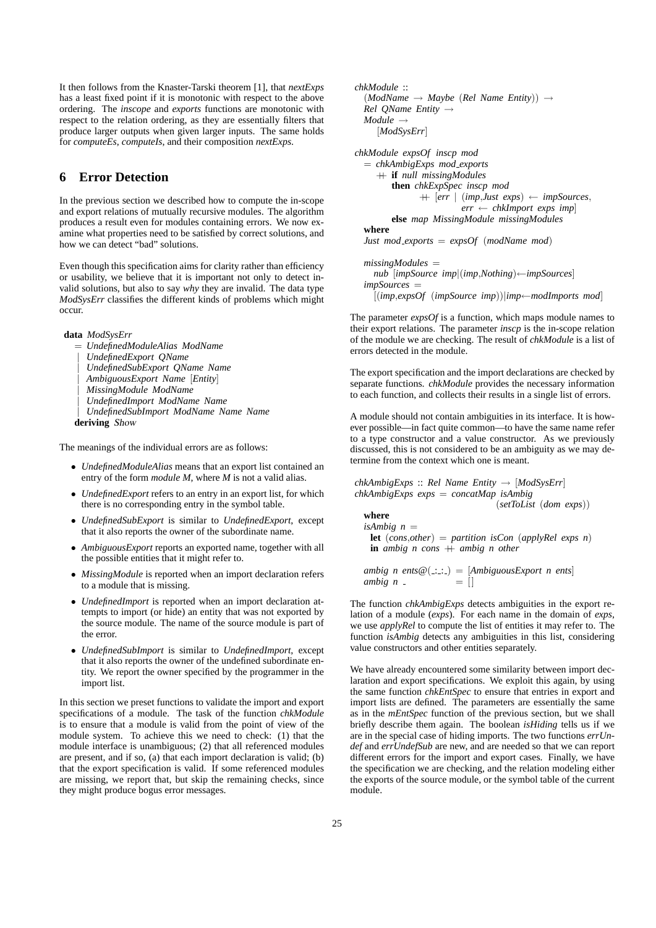It then follows from the Knaster-Tarski theorem [1], that *nextExps* has a least fixed point if it is monotonic with respect to the above ordering. The *inscope* and *exports* functions are monotonic with respect to the relation ordering, as they are essentially filters that produce larger outputs when given larger inputs. The same holds for *computeEs*, *computeIs*, and their composition *nextExps*.

# **6 Error Detection**

In the previous section we described how to compute the in-scope and export relations of mutually recursive modules. The algorithm produces a result even for modules containing errors. We now examine what properties need to be satisfied by correct solutions, and how we can detect "bad" solutions.

Even though this specification aims for clarity rather than efficiency or usability, we believe that it is important not only to detect invalid solutions, but also to say *why* they are invalid. The data type *ModSysErr* classifies the different kinds of problems which might occur.

**data** *ModSysErr*

- = *UndefinedModuleAlias ModName*
- | *UndefinedExport QName*
- | *UndefinedSubExport QName Name*
- | *AmbiguousExport Name* [*Entity*]
- | *MissingModule ModName*
- | *UndefinedImport ModName Name*
- | *UndefinedSubImport ModName Name Name*

**deriving** Show

The meanings of the individual errors are as follows:

- *UndefinedModuleAlias* means that an export list contained an entry of the form *module M*, where *M* is not a valid alias.
- *UndefinedExport* refers to an entry in an export list, for which there is no corresponding entry in the symbol table.
- *UndefinedSubExport* is similar to *UndefinedExport*, except that it also reports the owner of the subordinate name.
- *AmbiguousExport* reports an exported name, together with all the possible entities that it might refer to.
- *MissingModule* is reported when an import declaration refers to a module that is missing.
- *UndefinedImport* is reported when an import declaration attempts to import (or hide) an entity that was not exported by the source module. The name of the source module is part of the error.
- *UndefinedSubImport* is similar to *UndefinedImport*, except that it also reports the owner of the undefined subordinate entity. We report the owner specified by the programmer in the import list.

In this section we preset functions to validate the import and export specifications of a module. The task of the function *chkModule* is to ensure that a module is valid from the point of view of the module system. To achieve this we need to check: (1) that the module interface is unambiguous; (2) that all referenced modules are present, and if so, (a) that each import declaration is valid; (b) that the export specification is valid. If some referenced modules are missing, we report that, but skip the remaining checks, since they might produce bogus error messages.

```
chkModule ::
  (ModName → Maybe (Rel Name Entity)) →
 Rel QName Entity →
 Module →
    [ModSysErr]
chkModule expsOf inscp mod
  = chkAmbigExps mod exports
    ++ if null missingModules
        then chkExpSpec inscp mod
             ++ [err | (imp,Just exps) ← impSources,
                      err ← chkImport exps imp]
        else map MissingModule missingModules
 where
 Just mod exports = expsOf (modName mod)
```
*missingModules* = *nub* [*impSource imp*|(*imp*,*Nothing*)←*impSources*] *impSources* = [(*imp*,*expsOf* (*impSource imp*))|*imp*←*modImports mod*]

The parameter *expsOf* is a function, which maps module names to their export relations. The parameter *inscp* is the in-scope relation of the module we are checking. The result of *chkModule* is a list of errors detected in the module.

The export specification and the import declarations are checked by separate functions. *chkModule* provides the necessary information to each function, and collects their results in a single list of errors.

A module should not contain ambiguities in its interface. It is however possible—in fact quite common—to have the same name refer to a type constructor and a value constructor. As we previously discussed, this is not considered to be an ambiguity as we may determine from the context which one is meant.

*chkAmbigExps* :: *Rel Name Entity* → [*ModSysErr*] *chkAmbigExps exps* = *concatMap isAmbig* (*setToList* (*dom exps*)) **where**  $isAmbig$   $n =$ **let** (*cons*,*other*) = *partition isCon* (*applyRel exps n*) **in** *ambig n cons*  $+$  *ambig n other* 

```
ambig \space n \space ents@(\ldots) = [AmbiguousExport \space n \spaceents]ambig \ n \_ = [
```
The function *chkAmbigExps* detects ambiguities in the export relation of a module (*exps*). For each name in the domain of *exps*, we use *applyRel* to compute the list of entities it may refer to. The function *isAmbig* detects any ambiguities in this list, considering value constructors and other entities separately.

We have already encountered some similarity between import declaration and export specifications. We exploit this again, by using the same function *chkEntSpec* to ensure that entries in export and import lists are defined. The parameters are essentially the same as in the *mEntSpec* function of the previous section, but we shall briefly describe them again. The boolean *isHiding* tells us if we are in the special case of hiding imports. The two functions *errUndef* and *errUndefSub* are new, and are needed so that we can report different errors for the import and export cases. Finally, we have the specification we are checking, and the relation modeling either the exports of the source module, or the symbol table of the current module.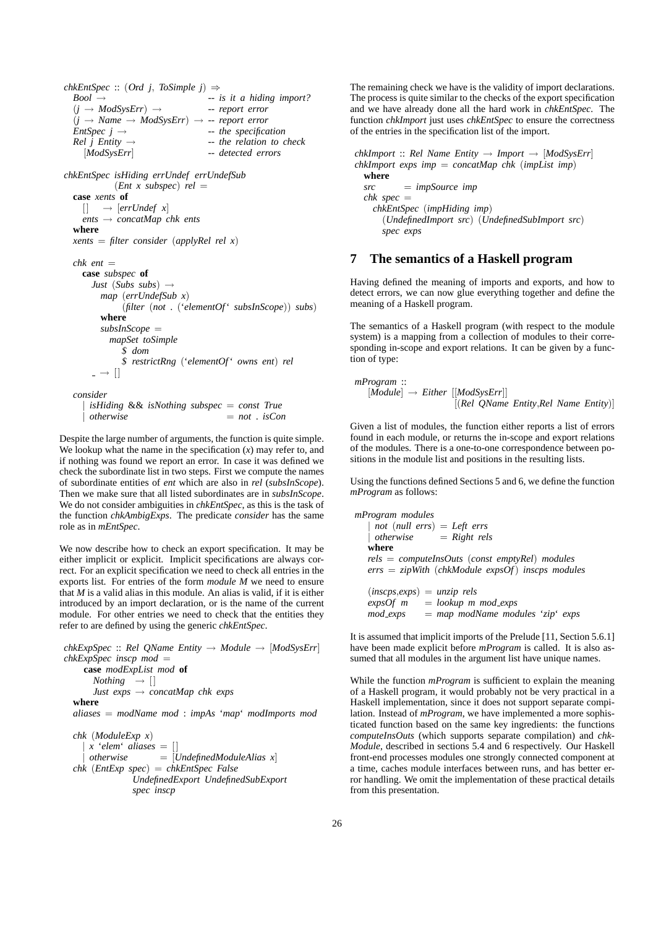$chkEntSpec :: (Ord j, ToSimple j) \Rightarrow$  $Bool \rightarrow$  -- *is it a hiding import?*  $(j \rightarrow ModSystem) \rightarrow$  -- *report error*  $(j \rightarrow Name \rightarrow ModSysErr) \rightarrow -$  *report error*  $EntSpec j \rightarrow - the specification$ <br> *Rel j Entity*  $\rightarrow -$  *the relation to c Rel j Entity* → -- *the relation to check* [*ModSysErr*] -- *detected errors chkEntSpec isHiding errUndef errUndefSub*  $(Ent x subspec) rel =$ **case** *xents* **of**  $[$   $\rightarrow$  [*errUndef x*] *ents* → *concatMap chk ents* **where** *xents* = *filter consider* (*applyRel rel x*) *chk ent* = **case** *subspec* **of** *Just* (*Subs subs*) → *map* (*errUndefSub x*) (*filter* (*not* . ('*elementOf*' *subsInScope*)) *subs*) **where** *subsInScope* = *mapSet toSimple* \$ *dom* \$ *restrictRng* ('*elementOf*' *owns ent*) *rel*  $\overline{\phantom{a}}$   $\rightarrow$   $\overline{\phantom{a}}$ *consider* | *isHiding* && *isNothing subspec* = *const True* | *otherwise* = *not* . *isCon*

Despite the large number of arguments, the function is quite simple. We lookup what the name in the specification (*x*) may refer to, and if nothing was found we report an error. In case it was defined we check the subordinate list in two steps. First we compute the names of subordinate entities of *ent* which are also in *rel* (*subsInScope*). Then we make sure that all listed subordinates are in *subsInScope*. We do not consider ambiguities in *chkEntSpec*, as this is the task of the function *chkAmbigExps*. The predicate *consider* has the same role as in *mEntSpec*.

We now describe how to check an export specification. It may be either implicit or explicit. Implicit specifications are always correct. For an explicit specification we need to check all entries in the exports list. For entries of the form *module M* we need to ensure that *M* is a valid alias in this module. An alias is valid, if it is either introduced by an import declaration, or is the name of the current module. For other entries we need to check that the entities they refer to are defined by using the generic *chkEntSpec*.

*chkExpSpec* :: *Rel QName Entity* → *Module* → [*ModSysErr*] *chkExpSpec inscp mod* = **case** *modExpList mod* **of**  $Nothing \rightarrow []$ *Just exps* → *concatMap chk exps* **where** *aliases* = *modName mod* : *impAs* '*map*' *modImports mod chk* (*ModuleExp x*)  $\hat{x}$  '*elem*' *aliases* =  $[$ | *otherwise* = [*UndefinedModuleAlias x*] *chk* (*EntExp spec*) = *chkEntSpec False*

*UndefinedExport UndefinedSubExport spec inscp*

The remaining check we have is the validity of import declarations. The process is quite similar to the checks of the export specification and we have already done all the hard work in *chkEntSpec*. The function *chkImport* just uses *chkEntSpec* to ensure the correctness of the entries in the specification list of the import.

*chkImport* :: *Rel Name Entity*  $\rightarrow$  *Import*  $\rightarrow$  [*ModSysErr*] *chkImport exps imp* = *concatMap chk* (*impList imp*) **where** *src* = *impSource imp*  $chk$   $spec =$ *chkEntSpec* (*impHiding imp*) (*UndefinedImport src*) (*UndefinedSubImport src*) *spec exps*

## **7 The semantics of a Haskell program**

Having defined the meaning of imports and exports, and how to detect errors, we can now glue everything together and define the meaning of a Haskell program.

The semantics of a Haskell program (with respect to the module system) is a mapping from a collection of modules to their corresponding in-scope and export relations. It can be given by a function of type:

$$
mProgram ::
$$
  
\n
$$
[Module] \rightarrow Either [[ModSystem]]
$$
  
\n
$$
[(Rel \t{QName \t{Entity, Rel Name \t{Entity}}})]
$$

Given a list of modules, the function either reports a list of errors found in each module, or returns the in-scope and export relations of the modules. There is a one-to-one correspondence between positions in the module list and positions in the resulting lists.

Using the functions defined Sections 5 and 6, we define the function *mProgram* as follows:

```
mProgram modules
    | not (null errs) = Left errs
    | otherwise = Right rels
  where
  rels = computeInsOuts (const emptyRel) modules
  errs = zipWith (chkModule expsOf) inscps modules
  (inscps,exps) = unzip rels
  \exp\{Of\ m\} = lookup m mod exps
```
*mod exps* = *map modName modules* '*zip*' *exps*

It is assumed that implicit imports of the Prelude [11, Section 5.6.1] have been made explicit before *mProgram* is called. It is also assumed that all modules in the argument list have unique names.

While the function *mProgram* is sufficient to explain the meaning of a Haskell program, it would probably not be very practical in a Haskell implementation, since it does not support separate compilation. Instead of *mProgram*, we have implemented a more sophisticated function based on the same key ingredients: the functions *computeInsOuts* (which supports separate compilation) and *chk-Module*, described in sections 5.4 and 6 respectively. Our Haskell front-end processes modules one strongly connected component at a time, caches module interfaces between runs, and has better error handling. We omit the implementation of these practical details from this presentation.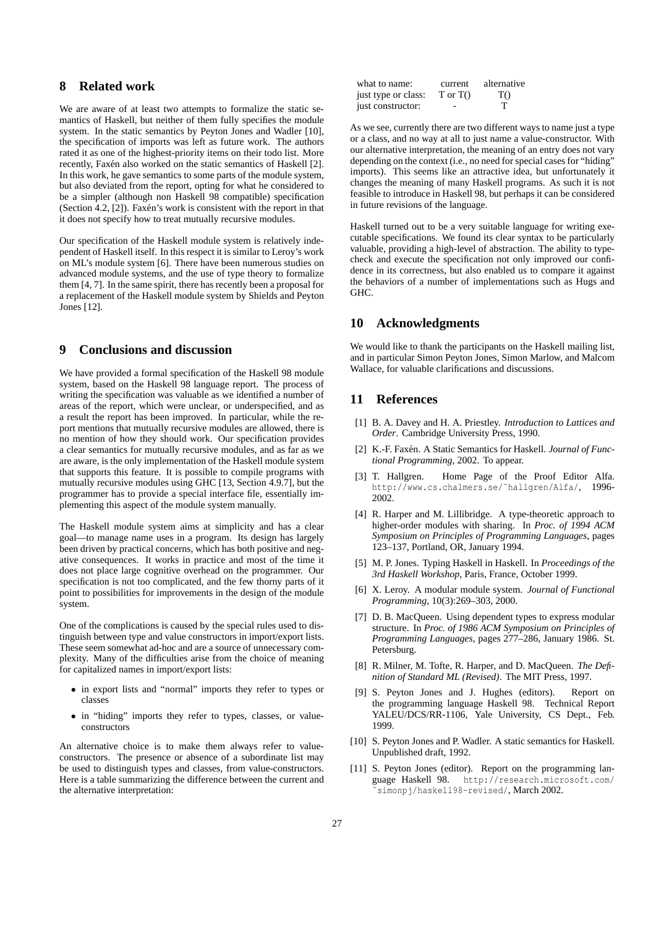## **8 Related work**

We are aware of at least two attempts to formalize the static semantics of Haskell, but neither of them fully specifies the module system. In the static semantics by Peyton Jones and Wadler [10], the specification of imports was left as future work. The authors rated it as one of the highest-priority items on their todo list. More recently, Faxén also worked on the static semantics of Haskell [2]. In this work, he gave semantics to some parts of the module system, but also deviated from the report, opting for what he considered to be a simpler (although non Haskell 98 compatible) specification (Section 4.2,  $[2]$ ). Faxén's work is consistent with the report in that it does not specify how to treat mutually recursive modules.

Our specification of the Haskell module system is relatively independent of Haskell itself. In this respect it is similar to Leroy's work on ML's module system [6]. There have been numerous studies on advanced module systems, and the use of type theory to formalize them [4, 7]. In the same spirit, there has recently been a proposal for a replacement of the Haskell module system by Shields and Peyton Jones [12].

# **9 Conclusions and discussion**

We have provided a formal specification of the Haskell 98 module system, based on the Haskell 98 language report. The process of writing the specification was valuable as we identified a number of areas of the report, which were unclear, or underspecified, and as a result the report has been improved. In particular, while the report mentions that mutually recursive modules are allowed, there is no mention of how they should work. Our specification provides a clear semantics for mutually recursive modules, and as far as we are aware, is the only implementation of the Haskell module system that supports this feature. It is possible to compile programs with mutually recursive modules using GHC [13, Section 4.9.7], but the programmer has to provide a special interface file, essentially implementing this aspect of the module system manually.

The Haskell module system aims at simplicity and has a clear goal—to manage name uses in a program. Its design has largely been driven by practical concerns, which has both positive and negative consequences. It works in practice and most of the time it does not place large cognitive overhead on the programmer. Our specification is not too complicated, and the few thorny parts of it point to possibilities for improvements in the design of the module system.

One of the complications is caused by the special rules used to distinguish between type and value constructors in import/export lists. These seem somewhat ad-hoc and are a source of unnecessary complexity. Many of the difficulties arise from the choice of meaning for capitalized names in import/export lists:

- in export lists and "normal" imports they refer to types or classes
- in "hiding" imports they refer to types, classes, or valueconstructors

An alternative choice is to make them always refer to valueconstructors. The presence or absence of a subordinate list may be used to distinguish types and classes, from value-constructors. Here is a table summarizing the difference between the current and the alternative interpretation:

| what to name:       | current    | alternative |
|---------------------|------------|-------------|
| just type or class: | T or $T()$ | T()         |
| just constructor:   |            |             |

As we see, currently there are two different ways to name just a type or a class, and no way at all to just name a value-constructor. With our alternative interpretation, the meaning of an entry does not vary depending on the context (i.e., no need for special cases for "hiding" imports). This seems like an attractive idea, but unfortunately it changes the meaning of many Haskell programs. As such it is not feasible to introduce in Haskell 98, but perhaps it can be considered in future revisions of the language.

Haskell turned out to be a very suitable language for writing executable specifications. We found its clear syntax to be particularly valuable, providing a high-level of abstraction. The ability to typecheck and execute the specification not only improved our confidence in its correctness, but also enabled us to compare it against the behaviors of a number of implementations such as Hugs and GHC.

#### **10 Acknowledgments**

We would like to thank the participants on the Haskell mailing list, and in particular Simon Peyton Jones, Simon Marlow, and Malcom Wallace, for valuable clarifications and discussions.

#### **11 References**

- [1] B. A. Davey and H. A. Priestley. *Introduction to Lattices and Order*. Cambridge University Press, 1990.
- [2] K.-F. Faxén. A Static Semantics for Haskell. *Journal of Functional Programming*, 2002. To appear.
- [3] T. Hallgren. Home Page of the Proof Editor Alfa. http://www.cs.chalmers.se/˜hallgren/Alfa/, 1996- 2002.
- [4] R. Harper and M. Lillibridge. A type-theoretic approach to higher-order modules with sharing. In *Proc. of 1994 ACM Symposium on Principles of Programming Languages*, pages 123–137, Portland, OR, January 1994.
- [5] M. P. Jones. Typing Haskell in Haskell. In *Proceedings of the 3rd Haskell Workshop*, Paris, France, October 1999.
- [6] X. Leroy. A modular module system. *Journal of Functional Programming*, 10(3):269–303, 2000.
- [7] D. B. MacQueen. Using dependent types to express modular structure. In *Proc. of 1986 ACM Symposium on Principles of Programming Languages*, pages 277–286, January 1986. St. Petersburg.
- [8] R. Milner, M. Tofte, R. Harper, and D. MacQueen. *The Definition of Standard ML (Revised)*. The MIT Press, 1997.
- [9] S. Peyton Jones and J. Hughes (editors). Report on the programming language Haskell 98. Technical Report YALEU/DCS/RR-1106, Yale University, CS Dept., Feb. 1999.
- [10] S. Peyton Jones and P. Wadler. A static semantics for Haskell. Unpublished draft, 1992.
- [11] S. Peyton Jones (editor). Report on the programming language Haskell 98. http://research.microsoft.com/ http://research.microsoft.com/ simonpj/haskell98-revised/, March 2002.